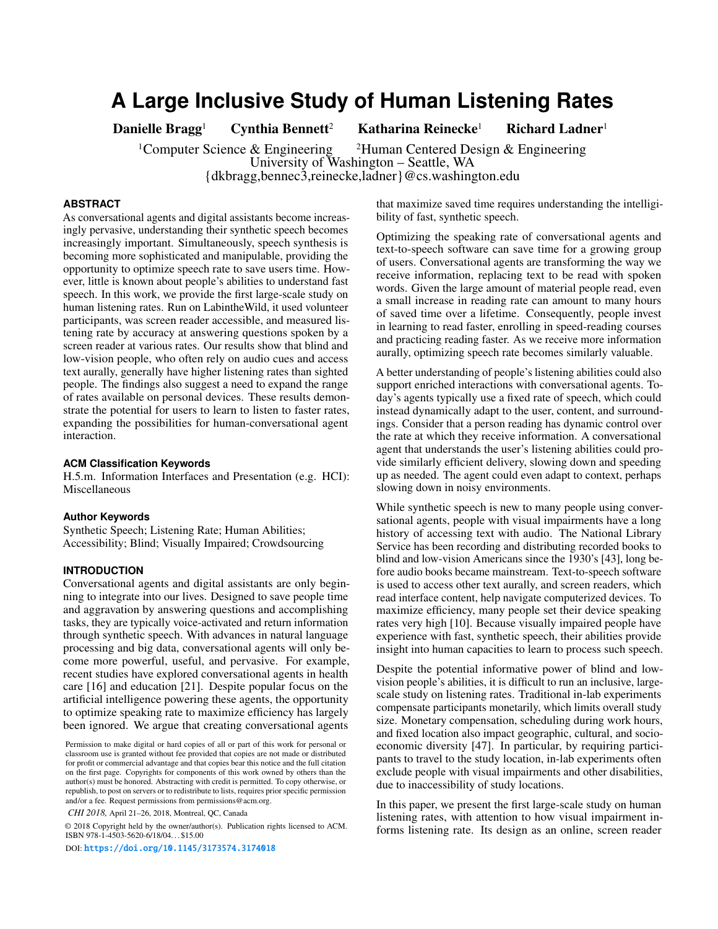# **A Large Inclusive Study of Human Listening Rates**

Danielle Bragg<sup>1</sup> Cynthia Bennett<sup>2</sup> Katharina Reinecke<sup>1</sup> Richard Ladner<sup>1</sup>

<sup>1</sup>Computer Science & Engineering <sup>2</sup>Human Centered Design & Engineering University of Washington – Seattle, WA {dkbragg,bennec3,reinecke,ladner}@cs.washington.edu

#### **ABSTRACT**

As conversational agents and digital assistants become increasingly pervasive, understanding their synthetic speech becomes increasingly important. Simultaneously, speech synthesis is becoming more sophisticated and manipulable, providing the opportunity to optimize speech rate to save users time. However, little is known about people's abilities to understand fast speech. In this work, we provide the frst large-scale study on human listening rates. Run on LabintheWild, it used volunteer participants, was screen reader accessible, and measured listening rate by accuracy at answering questions spoken by a screen reader at various rates. Our results show that blind and low-vision people, who often rely on audio cues and access text aurally, generally have higher listening rates than sighted people. The fndings also suggest a need to expand the range of rates available on personal devices. These results demonstrate the potential for users to learn to listen to faster rates, expanding the possibilities for human-conversational agent interaction.

## **ACM Classification Keywords**

H.5.m. Information Interfaces and Presentation (e.g. HCI): Miscellaneous

## **Author Keywords**

Synthetic Speech; Listening Rate; Human Abilities; Accessibility; Blind; Visually Impaired; Crowdsourcing

## **INTRODUCTION**

Conversational agents and digital assistants are only beginning to integrate into our lives. Designed to save people time and aggravation by answering questions and accomplishing tasks, they are typically voice-activated and return information through synthetic speech. With advances in natural language processing and big data, conversational agents will only become more powerful, useful, and pervasive. For example, recent studies have explored conversational agents in health care [\[16\]](#page-9-0) and education [\[21\]](#page-9-1). Despite popular focus on the artifcial intelligence powering these agents, the opportunity to optimize speaking rate to maximize effciency has largely been ignored. We argue that creating conversational agents

*CHI 2018,* April 21–26, 2018, Montreal, QC, Canada

© 2018 Copyright held by the owner/author(s). Publication rights licensed to ACM. ISBN 978-1-4503-5620-6/18/04. . . \$15.00

DOI: <https://doi.org/10.1145/3173574.3174018>

that maximize saved time requires understanding the intelligibility of fast, synthetic speech.

Optimizing the speaking rate of conversational agents and text-to-speech software can save time for a growing group of users. Conversational agents are transforming the way we receive information, replacing text to be read with spoken words. Given the large amount of material people read, even a small increase in reading rate can amount to many hours of saved time over a lifetime. Consequently, people invest in learning to read faster, enrolling in speed-reading courses and practicing reading faster. As we receive more information aurally, optimizing speech rate becomes similarly valuable.

A better understanding of people's listening abilities could also support enriched interactions with conversational agents. Today's agents typically use a fxed rate of speech, which could instead dynamically adapt to the user, content, and surroundings. Consider that a person reading has dynamic control over the rate at which they receive information. A conversational agent that understands the user's listening abilities could provide similarly effcient delivery, slowing down and speeding up as needed. The agent could even adapt to context, perhaps slowing down in noisy environments.

While synthetic speech is new to many people using conversational agents, people with visual impairments have a long history of accessing text with audio. The National Library Service has been recording and distributing recorded books to blind and low-vision Americans since the 1930's [\[43\]](#page-10-0), long before audio books became mainstream. Text-to-speech software is used to access other text aurally, and screen readers, which read interface content, help navigate computerized devices. To maximize efficiency, many people set their device speaking rates very high [\[10\]](#page-8-0). Because visually impaired people have experience with fast, synthetic speech, their abilities provide insight into human capacities to learn to process such speech.

Despite the potential informative power of blind and lowvision people's abilities, it is diffcult to run an inclusive, largescale study on listening rates. Traditional in-lab experiments compensate participants monetarily, which limits overall study size. Monetary compensation, scheduling during work hours, and fxed location also impact geographic, cultural, and socioeconomic diversity [\[47\]](#page-10-1). In particular, by requiring participants to travel to the study location, in-lab experiments often exclude people with visual impairments and other disabilities, due to inaccessibility of study locations.

In this paper, we present the frst large-scale study on human listening rates, with attention to how visual impairment informs listening rate. Its design as an online, screen reader

Permission to make digital or hard copies of all or part of this work for personal or classroom use is granted without fee provided that copies are not made or distributed for proft or commercial advantage and that copies bear this notice and the full citation on the frst page. Copyrights for components of this work owned by others than the author(s) must be honored. Abstracting with credit is permitted. To copy otherwise, or republish, to post on servers or to redistribute to lists, requires prior specifc permission and/or a fee. Request permissions from permissions@acm.org.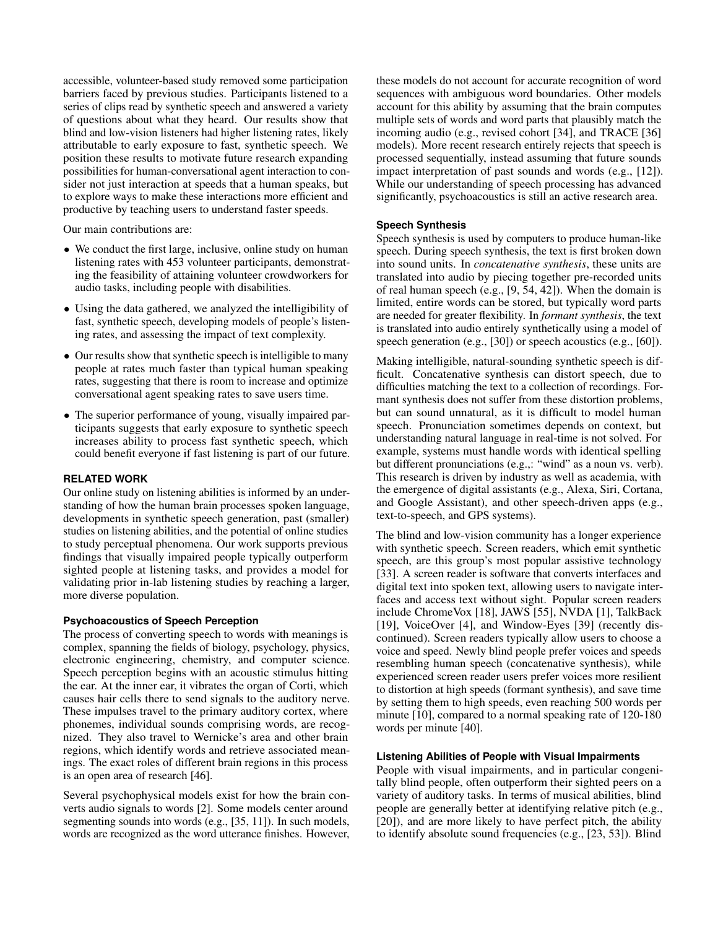accessible, volunteer-based study removed some participation barriers faced by previous studies. Participants listened to a series of clips read by synthetic speech and answered a variety of questions about what they heard. Our results show that blind and low-vision listeners had higher listening rates, likely attributable to early exposure to fast, synthetic speech. We position these results to motivate future research expanding possibilities for human-conversational agent interaction to consider not just interaction at speeds that a human speaks, but to explore ways to make these interactions more effcient and productive by teaching users to understand faster speeds.

Our main contributions are:

- We conduct the frst large, inclusive, online study on human listening rates with 453 volunteer participants, demonstrating the feasibility of attaining volunteer crowdworkers for audio tasks, including people with disabilities.
- Using the data gathered, we analyzed the intelligibility of fast, synthetic speech, developing models of people's listening rates, and assessing the impact of text complexity.
- Our results show that synthetic speech is intelligible to many people at rates much faster than typical human speaking rates, suggesting that there is room to increase and optimize conversational agent speaking rates to save users time.
- The superior performance of young, visually impaired participants suggests that early exposure to synthetic speech increases ability to process fast synthetic speech, which could beneft everyone if fast listening is part of our future.

## **RELATED WORK**

Our online study on listening abilities is informed by an understanding of how the human brain processes spoken language, developments in synthetic speech generation, past (smaller) studies on listening abilities, and the potential of online studies to study perceptual phenomena. Our work supports previous fndings that visually impaired people typically outperform sighted people at listening tasks, and provides a model for validating prior in-lab listening studies by reaching a larger, more diverse population.

## **Psychoacoustics of Speech Perception**

The process of converting speech to words with meanings is complex, spanning the felds of biology, psychology, physics, electronic engineering, chemistry, and computer science. Speech perception begins with an acoustic stimulus hitting the ear. At the inner ear, it vibrates the organ of Corti, which causes hair cells there to send signals to the auditory nerve. These impulses travel to the primary auditory cortex, where phonemes, individual sounds comprising words, are recognized. They also travel to Wernicke's area and other brain regions, which identify words and retrieve associated meanings. The exact roles of different brain regions in this process is an open area of research [\[46\]](#page-10-2).

Several psychophysical models exist for how the brain converts audio signals to words [\[2\]](#page-8-1). Some models center around segmenting sounds into words (e.g., [\[35,](#page-9-2) [11\]](#page-8-2)). In such models, words are recognized as the word utterance fnishes. However, these models do not account for accurate recognition of word sequences with ambiguous word boundaries. Other models account for this ability by assuming that the brain computes multiple sets of words and word parts that plausibly match the incoming audio (e.g., revised cohort [\[34\]](#page-9-3), and TRACE [\[36\]](#page-9-4) models). More recent research entirely rejects that speech is processed sequentially, instead assuming that future sounds impact interpretation of past sounds and words (e.g., [\[12\]](#page-9-5)). While our understanding of speech processing has advanced signifcantly, psychoacoustics is still an active research area.

## **Speech Synthesis**

Speech synthesis is used by computers to produce human-like speech. During speech synthesis, the text is frst broken down into sound units. In *concatenative synthesis*, these units are translated into audio by piecing together pre-recorded units of real human speech (e.g., [\[9,](#page-8-3) [54,](#page-10-3) [42\]](#page-10-4)). When the domain is limited, entire words can be stored, but typically word parts are needed for greater fexibility. In *formant synthesis*, the text is translated into audio entirely synthetically using a model of speech generation (e.g., [\[30\]](#page-9-6)) or speech acoustics (e.g., [\[60\]](#page-10-5)).

Making intelligible, natural-sounding synthetic speech is difficult. Concatenative synthesis can distort speech, due to diffculties matching the text to a collection of recordings. Formant synthesis does not suffer from these distortion problems, but can sound unnatural, as it is difficult to model human speech. Pronunciation sometimes depends on context, but understanding natural language in real-time is not solved. For example, systems must handle words with identical spelling but different pronunciations (e.g.,: "wind" as a noun vs. verb). This research is driven by industry as well as academia, with the emergence of digital assistants (e.g., Alexa, Siri, Cortana, and Google Assistant), and other speech-driven apps (e.g., text-to-speech, and GPS systems).

The blind and low-vision community has a longer experience with synthetic speech. Screen readers, which emit synthetic speech, are this group's most popular assistive technology [\[33\]](#page-9-7). A screen reader is software that converts interfaces and digital text into spoken text, allowing users to navigate interfaces and access text without sight. Popular screen readers include ChromeVox [\[18\]](#page-9-8), JAWS [\[55\]](#page-10-6), NVDA [\[1\]](#page-8-4), TalkBack [\[19\]](#page-9-9), VoiceOver [\[4\]](#page-8-5), and Window-Eyes [\[39\]](#page-10-7) (recently discontinued). Screen readers typically allow users to choose a voice and speed. Newly blind people prefer voices and speeds resembling human speech (concatenative synthesis), while experienced screen reader users prefer voices more resilient to distortion at high speeds (formant synthesis), and save time by setting them to high speeds, even reaching 500 words per minute [\[10\]](#page-8-0), compared to a normal speaking rate of 120-180 words per minute [\[40\]](#page-10-8).

#### **Listening Abilities of People with Visual Impairments**

People with visual impairments, and in particular congenitally blind people, often outperform their sighted peers on a variety of auditory tasks. In terms of musical abilities, blind people are generally better at identifying relative pitch (e.g., [\[20\]](#page-9-10)), and are more likely to have perfect pitch, the ability to identify absolute sound frequencies (e.g., [\[23,](#page-9-11) [53\]](#page-10-9)). Blind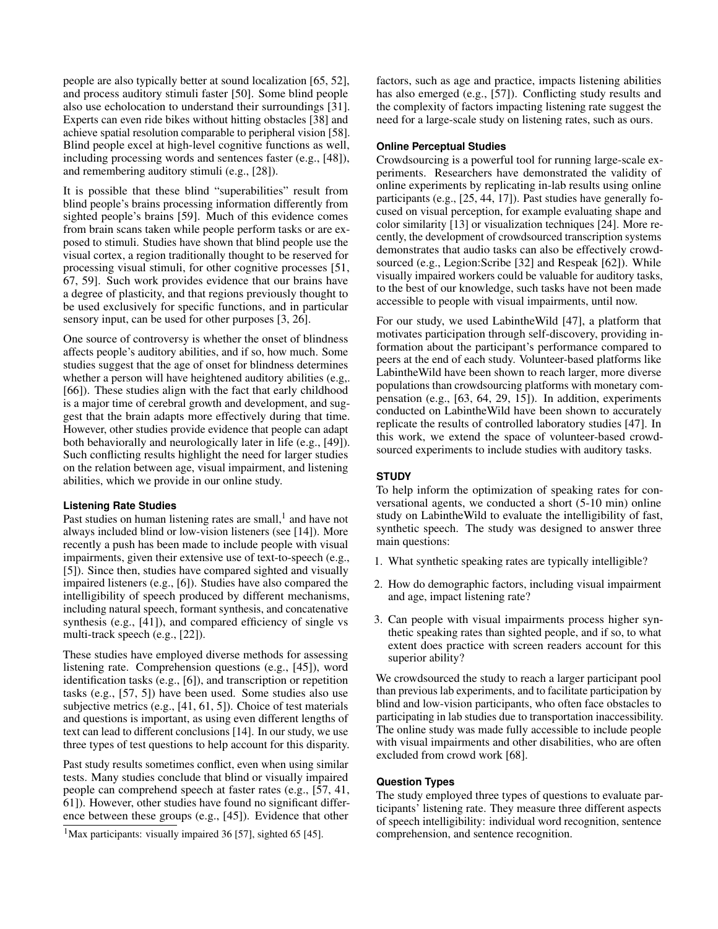people are also typically better at sound localization [\[65,](#page-11-0) [52\]](#page-10-10), and process auditory stimuli faster [\[50\]](#page-10-11). Some blind people also use echolocation to understand their surroundings [\[31\]](#page-9-12). Experts can even ride bikes without hitting obstacles [\[38\]](#page-9-13) and achieve spatial resolution comparable to peripheral vision [\[58\]](#page-10-12). Blind people excel at high-level cognitive functions as well, including processing words and sentences faster (e.g., [\[48\]](#page-10-13)), and remembering auditory stimuli (e.g., [\[28\]](#page-9-14)).

It is possible that these blind "superabilities" result from blind people's brains processing information differently from sighted people's brains [\[59\]](#page-10-14). Much of this evidence comes from brain scans taken while people perform tasks or are exposed to stimuli. Studies have shown that blind people use the visual cortex, a region traditionally thought to be reserved for processing visual stimuli, for other cognitive processes [\[51,](#page-10-15) [67,](#page-11-1) [59\]](#page-10-14). Such work provides evidence that our brains have a degree of plasticity, and that regions previously thought to be used exclusively for specifc functions, and in particular sensory input, can be used for other purposes [\[3,](#page-8-6) [26\]](#page-9-15).

One source of controversy is whether the onset of blindness affects people's auditory abilities, and if so, how much. Some studies suggest that the age of onset for blindness determines whether a person will have heightened auditory abilities (e.g,. [\[66\]](#page-11-2)). These studies align with the fact that early childhood is a major time of cerebral growth and development, and suggest that the brain adapts more effectively during that time. However, other studies provide evidence that people can adapt both behaviorally and neurologically later in life (e.g., [\[49\]](#page-10-16)). Such conficting results highlight the need for larger studies on the relation between age, visual impairment, and listening abilities, which we provide in our online study.

## **Listening Rate Studies**

Past studies on human listening rates are small, $<sup>1</sup>$  and have not</sup> always included blind or low-vision listeners (see [\[14\]](#page-9-16)). More recently a push has been made to include people with visual impairments, given their extensive use of text-to-speech (e.g., [\[5\]](#page-8-7)). Since then, studies have compared sighted and visually impaired listeners (e.g., [\[6\]](#page-8-8)). Studies have also compared the intelligibility of speech produced by different mechanisms, including natural speech, formant synthesis, and concatenative synthesis (e.g.,  $[41]$ ), and compared efficiency of single vs multi-track speech (e.g., [\[22\]](#page-9-17)).

These studies have employed diverse methods for assessing listening rate. Comprehension questions (e.g., [\[45\]](#page-10-18)), word identifcation tasks (e.g., [\[6\]](#page-8-8)), and transcription or repetition tasks (e.g., [\[57,](#page-10-19) [5\]](#page-8-7)) have been used. Some studies also use subjective metrics (e.g., [\[41,](#page-10-17) [61,](#page-10-20) [5\]](#page-8-7)). Choice of test materials and questions is important, as using even different lengths of text can lead to different conclusions [\[14\]](#page-9-16). In our study, we use three types of test questions to help account for this disparity.

Past study results sometimes confict, even when using similar tests. Many studies conclude that blind or visually impaired people can comprehend speech at faster rates (e.g., [\[57,](#page-10-19) [41,](#page-10-17) [61\]](#page-10-20)). However, other studies have found no signifcant difference between these groups (e.g., [\[45\]](#page-10-18)). Evidence that other

<span id="page-2-0"></span><sup>1</sup>Max participants: visually impaired 36 [\[57\]](#page-10-19), sighted 65 [\[45\]](#page-10-18).

factors, such as age and practice, impacts listening abilities has also emerged (e.g., [\[57\]](#page-10-19)). Conficting study results and the complexity of factors impacting listening rate suggest the need for a large-scale study on listening rates, such as ours.

## **Online Perceptual Studies**

Crowdsourcing is a powerful tool for running large-scale experiments. Researchers have demonstrated the validity of online experiments by replicating in-lab results using online participants (e.g., [\[25,](#page-9-18) [44,](#page-10-21) [17\]](#page-9-19)). Past studies have generally focused on visual perception, for example evaluating shape and color similarity [\[13\]](#page-9-20) or visualization techniques [\[24\]](#page-9-21). More recently, the development of crowdsourced transcription systems demonstrates that audio tasks can also be effectively crowd-sourced (e.g., Legion: Scribe [\[32\]](#page-9-22) and Respeak [\[62\]](#page-10-22)). While visually impaired workers could be valuable for auditory tasks, to the best of our knowledge, such tasks have not been made accessible to people with visual impairments, until now.

For our study, we used LabintheWild [\[47\]](#page-10-1), a platform that motivates participation through self-discovery, providing information about the participant's performance compared to peers at the end of each study. Volunteer-based platforms like LabintheWild have been shown to reach larger, more diverse populations than crowdsourcing platforms with monetary compensation (e.g., [\[63,](#page-11-3) [64,](#page-11-4) [29,](#page-9-23) [15\]](#page-9-24)). In addition, experiments conducted on LabintheWild have been shown to accurately replicate the results of controlled laboratory studies [\[47\]](#page-10-1). In this work, we extend the space of volunteer-based crowdsourced experiments to include studies with auditory tasks.

# **STUDY**

To help inform the optimization of speaking rates for conversational agents, we conducted a short (5-10 min) online study on LabintheWild to evaluate the intelligibility of fast, synthetic speech. The study was designed to answer three main questions:

- 1. What synthetic speaking rates are typically intelligible?
- 2. How do demographic factors, including visual impairment and age, impact listening rate?
- 3. Can people with visual impairments process higher synthetic speaking rates than sighted people, and if so, to what extent does practice with screen readers account for this superior ability?

We crowdsourced the study to reach a larger participant pool than previous lab experiments, and to facilitate participation by blind and low-vision participants, who often face obstacles to participating in lab studies due to transportation inaccessibility. The online study was made fully accessible to include people with visual impairments and other disabilities, who are often excluded from crowd work [\[68\]](#page-11-5).

## **Question Types**

The study employed three types of questions to evaluate participants' listening rate. They measure three different aspects of speech intelligibility: individual word recognition, sentence comprehension, and sentence recognition.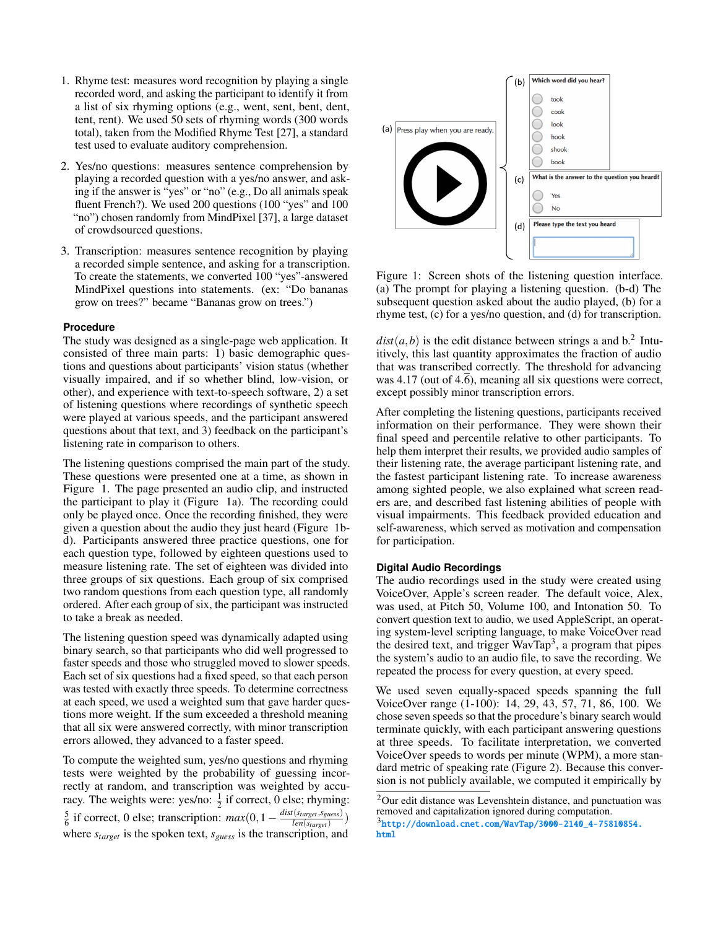- 1. Rhyme test: measures word recognition by playing a single recorded word, and asking the participant to identify it from a list of six rhyming options (e.g., went, sent, bent, dent, tent, rent). We used 50 sets of rhyming words (300 words total), taken from the Modifed Rhyme Test [\[27\]](#page-9-25), a standard test used to evaluate auditory comprehension.
- 2. Yes/no questions: measures sentence comprehension by playing a recorded question with a yes/no answer, and asking if the answer is "yes" or "no" (e.g., Do all animals speak fuent French?). We used 200 questions (100 "yes" and 100 "no") chosen randomly from MindPixel [\[37\]](#page-9-26), a large dataset of crowdsourced questions.
- 3. Transcription: measures sentence recognition by playing a recorded simple sentence, and asking for a transcription. To create the statements, we converted 100 "yes"-answered MindPixel questions into statements. (ex: "Do bananas grow on trees?" became "Bananas grow on trees.")

## **Procedure**

The study was designed as a single-page web application. It consisted of three main parts: 1) basic demographic questions and questions about participants' vision status (whether visually impaired, and if so whether blind, low-vision, or other), and experience with text-to-speech software, 2) a set of listening questions where recordings of synthetic speech were played at various speeds, and the participant answered questions about that text, and 3) feedback on the participant's listening rate in comparison to others.

The listening questions comprised the main part of the study. These questions were presented one at a time, as shown in Figure [1.](#page-3-0) The page presented an audio clip, and instructed the participant to play it (Figure [1a](#page-3-0)). The recording could only be played once. Once the recording fnished, they were given a question about the audio they just heard (Figure [1b](#page-3-0)d). Participants answered three practice questions, one for each question type, followed by eighteen questions used to measure listening rate. The set of eighteen was divided into three groups of six questions. Each group of six comprised two random questions from each question type, all randomly ordered. After each group of six, the participant was instructed to take a break as needed.

The listening question speed was dynamically adapted using binary search, so that participants who did well progressed to faster speeds and those who struggled moved to slower speeds. Each set of six questions had a fxed speed, so that each person was tested with exactly three speeds. To determine correctness at each speed, we used a weighted sum that gave harder questions more weight. If the sum exceeded a threshold meaning that all six were answered correctly, with minor transcription errors allowed, they advanced to a faster speed.

To compute the weighted sum, yes/no questions and rhyming tests were weighted by the probability of guessing incorrectly at random, and transcription was weighted by accuracy. The weights were: yes/no:  $\frac{1}{2}$  if correct, 0 else; rhyming:  $\frac{5}{6}$  if correct, 0 else; transcription:  $max(0, 1 - \frac{dist(s_{target}, s_{guess})}{len(s_{target})})$ where  $s_{target}$  is the spoken text,  $s_{guess}$  is the transcription, and

<span id="page-3-0"></span>

Figure 1: Screen shots of the listening question interface. (a) The prompt for playing a listening question. (b-d) The subsequent question asked about the audio played, (b) for a rhyme test, (c) for a yes/no question, and (d) for transcription.

 $dist(a, b)$  is the edit distance between strings a and  $b<sup>2</sup>$ . Intuitively, this last quantity approximates the fraction of audio that was transcribed correctly. The threshold for advancing was 4.17 (out of  $4.\overline{6}$ ), meaning all six questions were correct, except possibly minor transcription errors.

After completing the listening questions, participants received information on their performance. They were shown their fnal speed and percentile relative to other participants. To help them interpret their results, we provided audio samples of their listening rate, the average participant listening rate, and the fastest participant listening rate. To increase awareness among sighted people, we also explained what screen readers are, and described fast listening abilities of people with visual impairments. This feedback provided education and self-awareness, which served as motivation and compensation for participation.

## **Digital Audio Recordings**

The audio recordings used in the study were created using VoiceOver, Apple's screen reader. The default voice, Alex, was used, at Pitch 50, Volume 100, and Intonation 50. To convert question text to audio, we used AppleScript, an operating system-level scripting language, to make VoiceOver read the desired text, and trigger  $\text{WavTap}^3$ , a program that pipes the system's audio to an audio fle, to save the recording. We repeated the process for every question, at every speed.

We used seven equally-spaced speeds spanning the full VoiceOver range (1-100): 14, 29, 43, 57, 71, 86, 100. We chose seven speeds so that the procedure's binary search would terminate quickly, with each participant answering questions at three speeds. To facilitate interpretation, we converted VoiceOver speeds to words per minute (WPM), a more standard metric of speaking rate (Figure [2\)](#page-4-0). Because this conversion is not publicly available, we computed it empirically by

<span id="page-3-1"></span><sup>2</sup>Our edit distance was Levenshtein distance, and punctuation was removed and capitalization ignored during computation.

<span id="page-3-2"></span><sup>3</sup>[http://download.cnet.com/WavTap/3000-2140\\_4-75810854.](http://download.cnet.com/WavTap/3000-2140_4-75810854.html) [html](http://download.cnet.com/WavTap/3000-2140_4-75810854.html)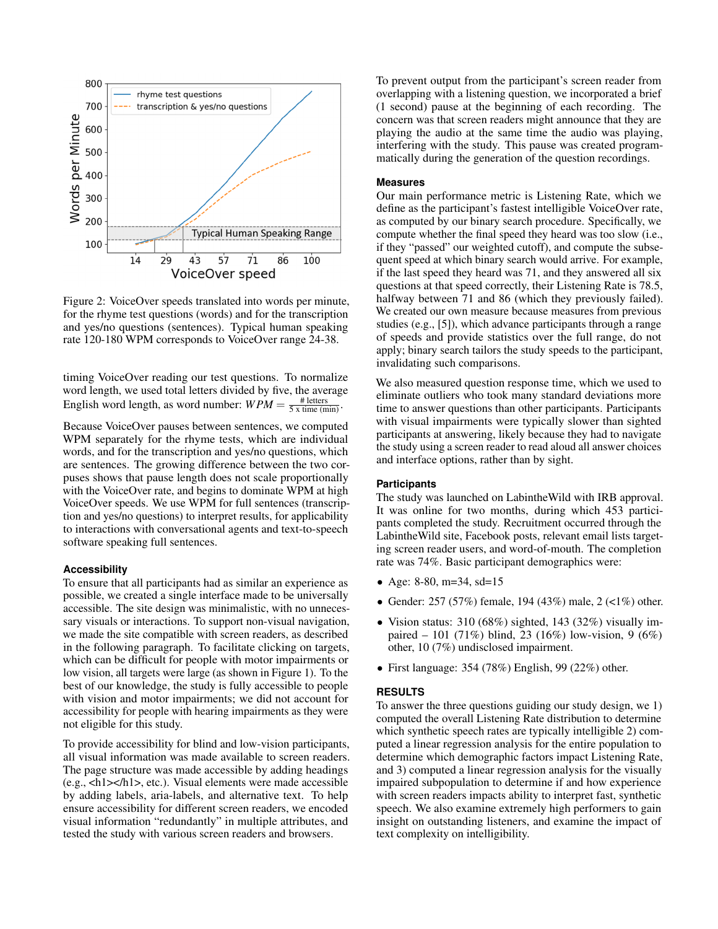<span id="page-4-0"></span>

Figure 2: VoiceOver speeds translated into words per minute, for the rhyme test questions (words) and for the transcription and yes/no questions (sentences). Typical human speaking rate 120-180 WPM corresponds to VoiceOver range 24-38.

timing VoiceOver reading our test questions. To normalize word length, we used total letters divided by five, the average English word length, as word number:  $WPM = \frac{\text{# letters}}{5 \times \text{time (min)}}$ .

Because VoiceOver pauses between sentences, we computed WPM separately for the rhyme tests, which are individual words, and for the transcription and yes/no questions, which are sentences. The growing difference between the two corpuses shows that pause length does not scale proportionally with the VoiceOver rate, and begins to dominate WPM at high VoiceOver speeds. We use WPM for full sentences (transcription and yes/no questions) to interpret results, for applicability to interactions with conversational agents and text-to-speech software speaking full sentences.

#### **Accessibility**

To ensure that all participants had as similar an experience as possible, we created a single interface made to be universally accessible. The site design was minimalistic, with no unnecessary visuals or interactions. To support non-visual navigation, we made the site compatible with screen readers, as described in the following paragraph. To facilitate clicking on targets, which can be diffcult for people with motor impairments or low vision, all targets were large (as shown in Figure [1\)](#page-3-0). To the best of our knowledge, the study is fully accessible to people with vision and motor impairments; we did not account for accessibility for people with hearing impairments as they were not eligible for this study.

To provide accessibility for blind and low-vision participants, all visual information was made available to screen readers. The page structure was made accessible by adding headings (e.g., <h1></h1>, etc.). Visual elements were made accessible by adding labels, aria-labels, and alternative text. To help ensure accessibility for different screen readers, we encoded visual information "redundantly" in multiple attributes, and tested the study with various screen readers and browsers.

To prevent output from the participant's screen reader from overlapping with a listening question, we incorporated a brief (1 second) pause at the beginning of each recording. The concern was that screen readers might announce that they are playing the audio at the same time the audio was playing, interfering with the study. This pause was created programmatically during the generation of the question recordings.

## **Measures**

Our main performance metric is Listening Rate, which we defne as the participant's fastest intelligible VoiceOver rate, as computed by our binary search procedure. Specifcally, we compute whether the fnal speed they heard was too slow (i.e., if they "passed" our weighted cutoff), and compute the subsequent speed at which binary search would arrive. For example, if the last speed they heard was 71, and they answered all six questions at that speed correctly, their Listening Rate is 78.5, halfway between 71 and 86 (which they previously failed). We created our own measure because measures from previous studies (e.g., [\[5\]](#page-8-7)), which advance participants through a range of speeds and provide statistics over the full range, do not apply; binary search tailors the study speeds to the participant, invalidating such comparisons.

We also measured question response time, which we used to eliminate outliers who took many standard deviations more time to answer questions than other participants. Participants with visual impairments were typically slower than sighted participants at answering, likely because they had to navigate the study using a screen reader to read aloud all answer choices and interface options, rather than by sight.

## **Participants**

The study was launched on LabintheWild with IRB approval. It was online for two months, during which 453 participants completed the study. Recruitment occurred through the LabintheWild site, Facebook posts, relevant email lists targeting screen reader users, and word-of-mouth. The completion rate was 74%. Basic participant demographics were:

- Age: 8-80, m=34, sd=15
- Gender: 257 (57%) female, 194 (43%) male,  $2$  (<1%) other.
- Vision status:  $310 (68\%)$  sighted,  $143 (32\%)$  visually impaired – 101 (71%) blind, 23 (16%) low-vision, 9 (6%) other, 10 (7%) undisclosed impairment.
- First language: 354 (78%) English, 99 (22%) other.

#### **RESULTS**

To answer the three questions guiding our study design, we 1) computed the overall Listening Rate distribution to determine which synthetic speech rates are typically intelligible 2) computed a linear regression analysis for the entire population to determine which demographic factors impact Listening Rate, and 3) computed a linear regression analysis for the visually impaired subpopulation to determine if and how experience with screen readers impacts ability to interpret fast, synthetic speech. We also examine extremely high performers to gain insight on outstanding listeners, and examine the impact of text complexity on intelligibility.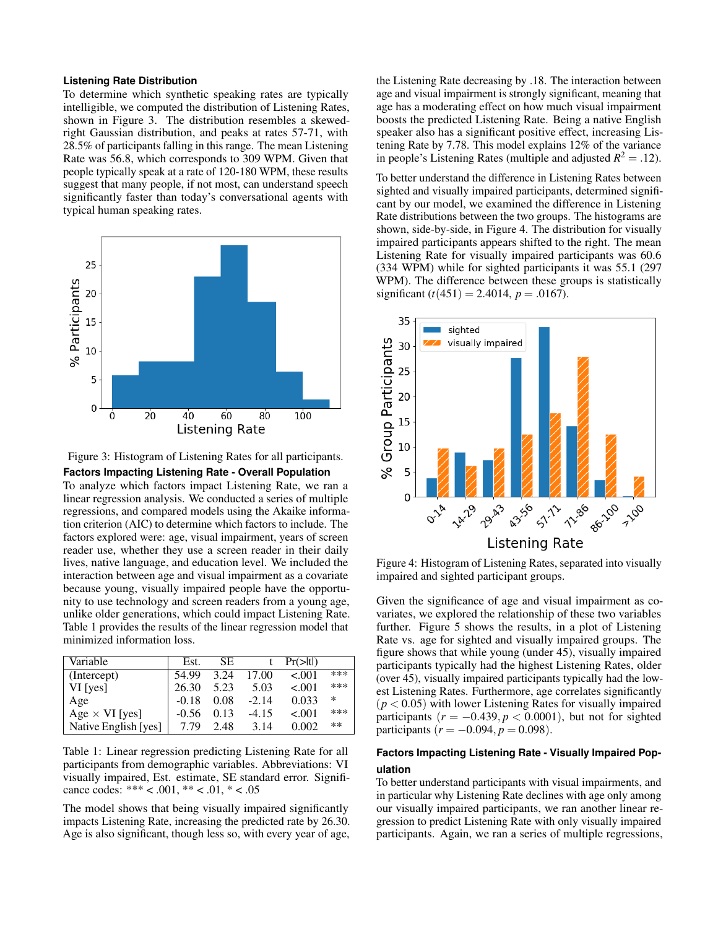## **Listening Rate Distribution**

To determine which synthetic speaking rates are typically intelligible, we computed the distribution of Listening Rates, shown in Figure [3.](#page-5-0) The distribution resembles a skewedright Gaussian distribution, and peaks at rates 57-71, with 28.5% of participants falling in this range. The mean Listening Rate was 56.8, which corresponds to 309 WPM. Given that people typically speak at a rate of 120-180 WPM, these results suggest that many people, if not most, can understand speech signifcantly faster than today's conversational agents with typical human speaking rates.

<span id="page-5-0"></span>

Figure 3: Histogram of Listening Rates for all participants. **Factors Impacting Listening Rate - Overall Population** 

To analyze which factors impact Listening Rate, we ran a linear regression analysis. We conducted a series of multiple regressions, and compared models using the Akaike information criterion (AIC) to determine which factors to include. The factors explored were: age, visual impairment, years of screen reader use, whether they use a screen reader in their daily lives, native language, and education level. We included the interaction between age and visual impairment as a covariate because young, visually impaired people have the opportunity to use technology and screen readers from a young age, unlike older generations, which could impact Listening Rate. Table [1](#page-5-1) provides the results of the linear regression model that minimized information loss.

<span id="page-5-1"></span>

| Variable              | Est.    | SE.  |         | $Pr(>\vert t \vert)$ |       |
|-----------------------|---------|------|---------|----------------------|-------|
| (Intercept)           | 54.99   | 3.24 | 17.00   | < 0.01               | ***   |
| $VI$ [yes]            | 26.30   | 5.23 | 5.03    | $-.001$              | ***   |
| Age                   | $-0.18$ | 0.08 | $-2.14$ | 0.033                | ∗     |
| Age $\times$ VI [yes] | $-0.56$ | 0.13 | $-4.15$ | $-.001$              | ***   |
| Native English [yes]  | 7.79    | 2.48 | 3.14    | 0.002                | $***$ |

Table 1: Linear regression predicting Listening Rate for all participants from demographic variables. Abbreviations: VI visually impaired, Est. estimate, SE standard error. Signifcance codes: \*\*\* < .001, \*\* < .01, \* < .05

The model shows that being visually impaired signifcantly impacts Listening Rate, increasing the predicted rate by 26.30. Age is also signifcant, though less so, with every year of age, the Listening Rate decreasing by .18. The interaction between age and visual impairment is strongly signifcant, meaning that age has a moderating effect on how much visual impairment boosts the predicted Listening Rate. Being a native English speaker also has a signifcant positive effect, increasing Listening Rate by 7.78. This model explains 12% of the variance in people's Listening Rates (multiple and adjusted  $R^2 = .12$ ).

To better understand the difference in Listening Rates between sighted and visually impaired participants, determined signifcant by our model, we examined the difference in Listening Rate distributions between the two groups. The histograms are shown, side-by-side, in Figure [4.](#page-5-2) The distribution for visually impaired participants appears shifted to the right. The mean Listening Rate for visually impaired participants was 60.6 (334 WPM) while for sighted participants it was 55.1 (297 WPM). The difference between these groups is statistically significant  $(t(451) = 2.4014, p = .0167)$ .

<span id="page-5-2"></span>

Figure 4: Histogram of Listening Rates, separated into visually impaired and sighted participant groups.

Given the signifcance of age and visual impairment as covariates, we explored the relationship of these two variables further. Figure [5](#page-6-0) shows the results, in a plot of Listening Rate vs. age for sighted and visually impaired groups. The fgure shows that while young (under 45), visually impaired participants typically had the highest Listening Rates, older (over 45), visually impaired participants typically had the lowest Listening Rates. Furthermore, age correlates signifcantly  $(p < 0.05)$  with lower Listening Rates for visually impaired participants  $(r = -0.439, p < 0.0001)$ , but not for sighted participants ( $r = -0.094, p = 0.098$ ).

# **Factors Impacting Listening Rate - Visually Impaired Population**

To better understand participants with visual impairments, and in particular why Listening Rate declines with age only among our visually impaired participants, we ran another linear regression to predict Listening Rate with only visually impaired participants. Again, we ran a series of multiple regressions,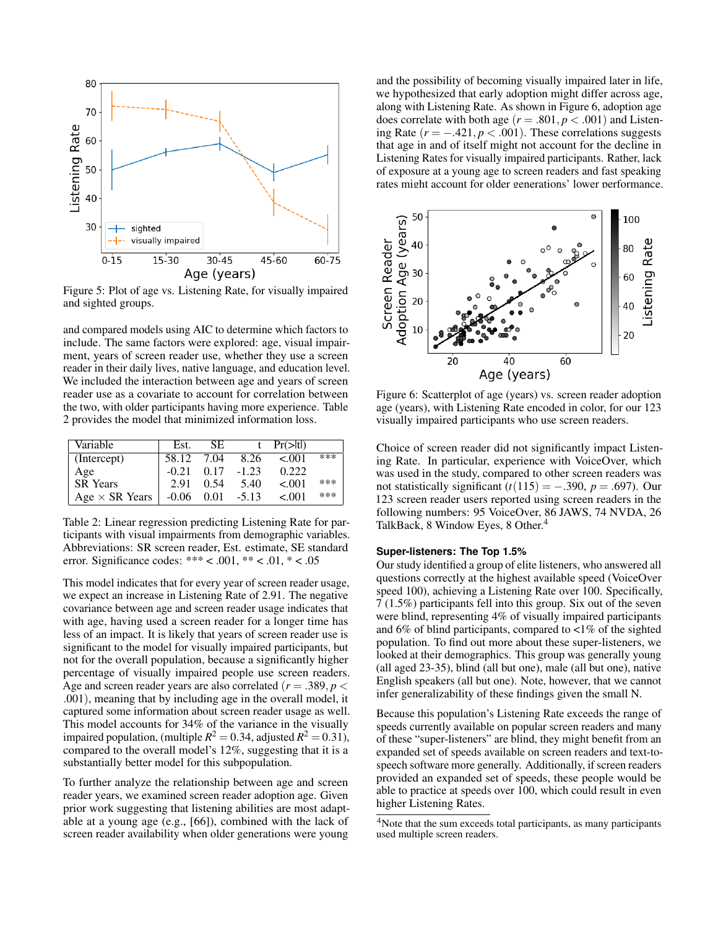<span id="page-6-0"></span>

Figure 5: Plot of age vs. Listening Rate, for visually impaired and sighted groups.

and compared models using AIC to determine which factors to include. The same factors were explored: age, visual impairment, years of screen reader use, whether they use a screen reader in their daily lives, native language, and education level. We included the interaction between age and years of screen reader use as a covariate to account for correlation between the two, with older participants having more experience. Table [2](#page-6-1) provides the model that minimized information loss.

<span id="page-6-1"></span>

| Variable              | Est.    | SE.  |         | $Pr(>\vert t \vert)$ |     |
|-----------------------|---------|------|---------|----------------------|-----|
| (Intercept)           | 58.12   | 7.04 | 8.26    | < 001                | *** |
| Age                   | $-0.21$ | 0.17 | $-1.23$ | 0.222                |     |
| <b>SR</b> Years       | 2.91    | 0.54 | 5.40    | $-.001$              | *** |
| Age $\times$ SR Years | $-0.06$ | 0.01 | $-5.13$ | < 001                | *** |

Table 2: Linear regression predicting Listening Rate for participants with visual impairments from demographic variables. Abbreviations: SR screen reader, Est. estimate, SE standard error. Significance codes: \*\*\* < .001, \*\* < .01, \* < .05

This model indicates that for every year of screen reader usage, we expect an increase in Listening Rate of 2.91. The negative covariance between age and screen reader usage indicates that with age, having used a screen reader for a longer time has less of an impact. It is likely that years of screen reader use is signifcant to the model for visually impaired participants, but not for the overall population, because a signifcantly higher percentage of visually impaired people use screen readers. Age and screen reader years are also correlated  $(r = .389, p <$ .001), meaning that by including age in the overall model, it captured some information about screen reader usage as well. This model accounts for 34% of the variance in the visually impaired population, (multiple  $R^2 = 0.34$ , adjusted  $R^2 = 0.31$ ), compared to the overall model's 12%, suggesting that it is a substantially better model for this subpopulation.

To further analyze the relationship between age and screen reader years, we examined screen reader adoption age. Given prior work suggesting that listening abilities are most adaptable at a young age (e.g., [\[66\]](#page-11-2)), combined with the lack of screen reader availability when older generations were young

and the possibility of becoming visually impaired later in life, we hypothesized that early adoption might differ across age, along with Listening Rate. As shown in Figure [6,](#page-6-2) adoption age does correlate with both age  $(r = .801, p < .001)$  and Listening Rate  $(r = -.421, p < .001)$ . These correlations suggests that age in and of itself might not account for the decline in Listening Rates for visually impaired participants. Rather, lack of exposure at a young age to screen readers and fast speaking rates might account for older generations' lower performance.

<span id="page-6-2"></span>

Figure 6: Scatterplot of age (years) vs. screen reader adoption age (years), with Listening Rate encoded in color, for our 123 visually impaired participants who use screen readers.

Choice of screen reader did not signifcantly impact Listening Rate. In particular, experience with VoiceOver, which was used in the study, compared to other screen readers was not statistically significant  $(t(115) = -.390, p = .697)$ . Our 123 screen reader users reported using screen readers in the following numbers: 95 VoiceOver, 86 JAWS, 74 NVDA, 26 TalkBack, 8 Window Eyes, 8 Other.<sup>4</sup>

#### **Super-listeners: The Top 1.5%**

Our study identifed a group of elite listeners, who answered all questions correctly at the highest available speed (VoiceOver speed 100), achieving a Listening Rate over 100. Specifically, 7 (1.5%) participants fell into this group. Six out of the seven were blind, representing 4% of visually impaired participants and 6% of blind participants, compared to  $\langle 1\% \rangle$  of the sighted population. To fnd out more about these super-listeners, we looked at their demographics. This group was generally young (all aged 23-35), blind (all but one), male (all but one), native English speakers (all but one). Note, however, that we cannot infer generalizability of these fndings given the small N.

Because this population's Listening Rate exceeds the range of speeds currently available on popular screen readers and many of these "super-listeners" are blind, they might beneft from an expanded set of speeds available on screen readers and text-tospeech software more generally. Additionally, if screen readers provided an expanded set of speeds, these people would be able to practice at speeds over 100, which could result in even higher Listening Rates.

<span id="page-6-3"></span><sup>&</sup>lt;sup>4</sup>Note that the sum exceeds total participants, as many participants used multiple screen readers.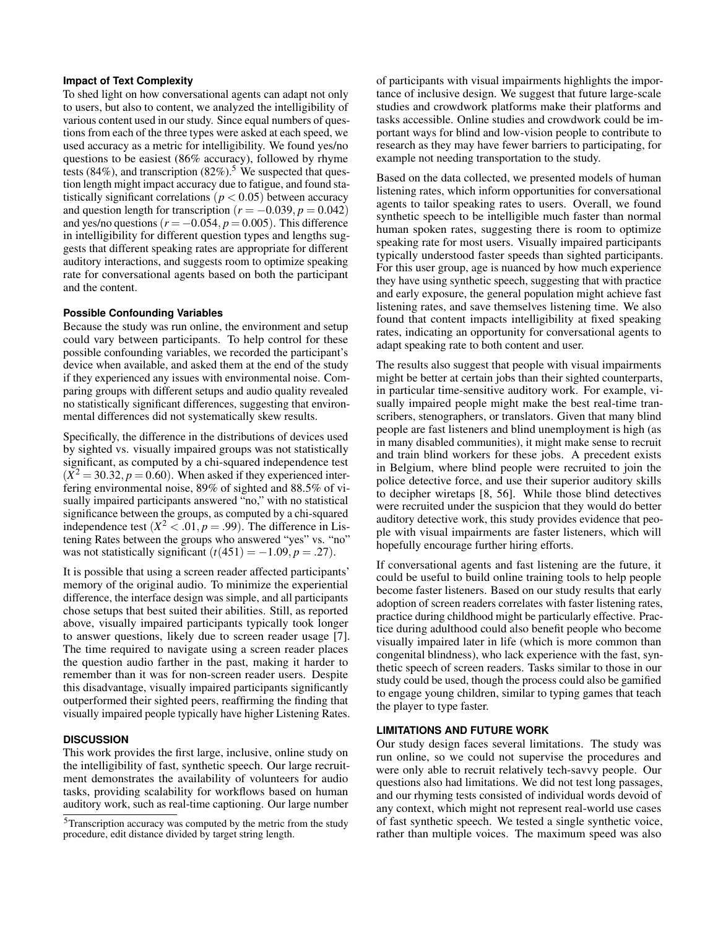## **Impact of Text Complexity**

To shed light on how conversational agents can adapt not only to users, but also to content, we analyzed the intelligibility of various content used in our study. Since equal numbers of questions from each of the three types were asked at each speed, we used accuracy as a metric for intelligibility. We found yes/no questions to be easiest (86% accuracy), followed by rhyme tests (84%), and transcription (82%).<sup>5</sup> We suspected that question length might impact accuracy due to fatigue, and found statistically significant correlations ( $p < 0.05$ ) between accuracy and question length for transcription ( $r = -0.039, p = 0.042$ ) and yes/no questions  $(r = -0.054, p = 0.005)$ . This difference in intelligibility for different question types and lengths suggests that different speaking rates are appropriate for different auditory interactions, and suggests room to optimize speaking rate for conversational agents based on both the participant and the content.

## **Possible Confounding Variables**

Because the study was run online, the environment and setup could vary between participants. To help control for these possible confounding variables, we recorded the participant's device when available, and asked them at the end of the study if they experienced any issues with environmental noise. Comparing groups with different setups and audio quality revealed no statistically signifcant differences, suggesting that environmental differences did not systematically skew results.

Specifcally, the difference in the distributions of devices used by sighted vs. visually impaired groups was not statistically signifcant, as computed by a chi-squared independence test  $(X^2 = 30.32, p = 0.60)$ . When asked if they experienced interfering environmental noise, 89% of sighted and 88.5% of visually impaired participants answered "no," with no statistical signifcance between the groups, as computed by a chi-squared independence test  $(X^2 < .01, p = .99)$ . The difference in Listening Rates between the groups who answered "yes" vs. "no" was not statistically significant  $(t(451) = -1.09, p = .27)$ .

It is possible that using a screen reader affected participants' memory of the original audio. To minimize the experiential difference, the interface design was simple, and all participants chose setups that best suited their abilities. Still, as reported above, visually impaired participants typically took longer to answer questions, likely due to screen reader usage [\[7\]](#page-8-9). The time required to navigate using a screen reader places the question audio farther in the past, making it harder to remember than it was for non-screen reader users. Despite this disadvantage, visually impaired participants signifcantly outperformed their sighted peers, reaffrming the fnding that visually impaired people typically have higher Listening Rates.

## **DISCUSSION**

This work provides the frst large, inclusive, online study on the intelligibility of fast, synthetic speech. Our large recruitment demonstrates the availability of volunteers for audio tasks, providing scalability for workflows based on human auditory work, such as real-time captioning. Our large number

of participants with visual impairments highlights the importance of inclusive design. We suggest that future large-scale studies and crowdwork platforms make their platforms and tasks accessible. Online studies and crowdwork could be important ways for blind and low-vision people to contribute to research as they may have fewer barriers to participating, for example not needing transportation to the study.

Based on the data collected, we presented models of human listening rates, which inform opportunities for conversational agents to tailor speaking rates to users. Overall, we found synthetic speech to be intelligible much faster than normal human spoken rates, suggesting there is room to optimize speaking rate for most users. Visually impaired participants typically understood faster speeds than sighted participants. For this user group, age is nuanced by how much experience they have using synthetic speech, suggesting that with practice and early exposure, the general population might achieve fast listening rates, and save themselves listening time. We also found that content impacts intelligibility at fxed speaking rates, indicating an opportunity for conversational agents to adapt speaking rate to both content and user.

The results also suggest that people with visual impairments might be better at certain jobs than their sighted counterparts, in particular time-sensitive auditory work. For example, visually impaired people might make the best real-time transcribers, stenographers, or translators. Given that many blind people are fast listeners and blind unemployment is high (as in many disabled communities), it might make sense to recruit and train blind workers for these jobs. A precedent exists in Belgium, where blind people were recruited to join the police detective force, and use their superior auditory skills to decipher wiretaps [\[8,](#page-8-10) [56\]](#page-10-23). While those blind detectives were recruited under the suspicion that they would do better auditory detective work, this study provides evidence that people with visual impairments are faster listeners, which will hopefully encourage further hiring efforts.

If conversational agents and fast listening are the future, it could be useful to build online training tools to help people become faster listeners. Based on our study results that early adoption of screen readers correlates with faster listening rates, practice during childhood might be particularly effective. Practice during adulthood could also beneft people who become visually impaired later in life (which is more common than congenital blindness), who lack experience with the fast, synthetic speech of screen readers. Tasks similar to those in our study could be used, though the process could also be gamifed to engage young children, similar to typing games that teach the player to type faster.

## **LIMITATIONS AND FUTURE WORK**

Our study design faces several limitations. The study was run online, so we could not supervise the procedures and were only able to recruit relatively tech-savvy people. Our questions also had limitations. We did not test long passages, and our rhyming tests consisted of individual words devoid of any context, which might not represent real-world use cases of fast synthetic speech. We tested a single synthetic voice, rather than multiple voices. The maximum speed was also

<span id="page-7-0"></span><sup>5</sup>Transcription accuracy was computed by the metric from the study procedure, edit distance divided by target string length.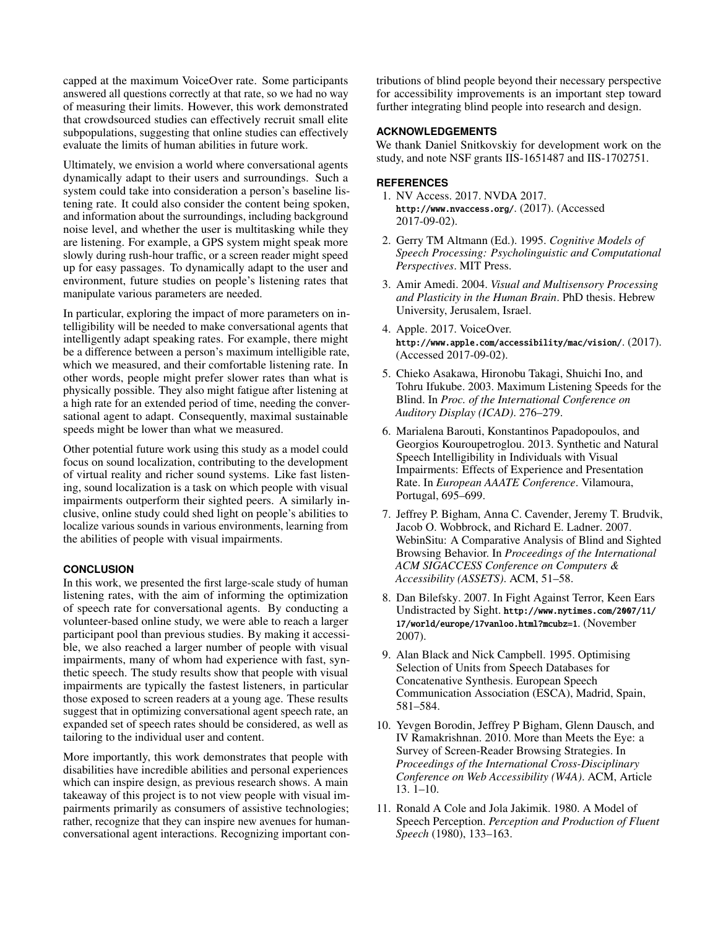capped at the maximum VoiceOver rate. Some participants answered all questions correctly at that rate, so we had no way of measuring their limits. However, this work demonstrated that crowdsourced studies can effectively recruit small elite subpopulations, suggesting that online studies can effectively evaluate the limits of human abilities in future work.

Ultimately, we envision a world where conversational agents dynamically adapt to their users and surroundings. Such a system could take into consideration a person's baseline listening rate. It could also consider the content being spoken, and information about the surroundings, including background noise level, and whether the user is multitasking while they are listening. For example, a GPS system might speak more slowly during rush-hour traffc, or a screen reader might speed up for easy passages. To dynamically adapt to the user and environment, future studies on people's listening rates that manipulate various parameters are needed.

In particular, exploring the impact of more parameters on intelligibility will be needed to make conversational agents that intelligently adapt speaking rates. For example, there might be a difference between a person's maximum intelligible rate, which we measured, and their comfortable listening rate. In other words, people might prefer slower rates than what is physically possible. They also might fatigue after listening at a high rate for an extended period of time, needing the conversational agent to adapt. Consequently, maximal sustainable speeds might be lower than what we measured.

Other potential future work using this study as a model could focus on sound localization, contributing to the development of virtual reality and richer sound systems. Like fast listening, sound localization is a task on which people with visual impairments outperform their sighted peers. A similarly inclusive, online study could shed light on people's abilities to localize various sounds in various environments, learning from the abilities of people with visual impairments.

## **CONCLUSION**

In this work, we presented the frst large-scale study of human listening rates, with the aim of informing the optimization of speech rate for conversational agents. By conducting a volunteer-based online study, we were able to reach a larger participant pool than previous studies. By making it accessible, we also reached a larger number of people with visual impairments, many of whom had experience with fast, synthetic speech. The study results show that people with visual impairments are typically the fastest listeners, in particular those exposed to screen readers at a young age. These results suggest that in optimizing conversational agent speech rate, an expanded set of speech rates should be considered, as well as tailoring to the individual user and content.

More importantly, this work demonstrates that people with disabilities have incredible abilities and personal experiences which can inspire design, as previous research shows. A main takeaway of this project is to not view people with visual impairments primarily as consumers of assistive technologies; rather, recognize that they can inspire new avenues for humanconversational agent interactions. Recognizing important contributions of blind people beyond their necessary perspective for accessibility improvements is an important step toward further integrating blind people into research and design.

## **ACKNOWLEDGEMENTS**

We thank Daniel Snitkovskiy for development work on the study, and note NSF grants IIS-1651487 and IIS-1702751.

## <span id="page-8-4"></span>**REFERENCES**

- 1. NV Access. 2017. NVDA 2017. <http://www.nvaccess.org/>. (2017). (Accessed 2017-09-02).
- <span id="page-8-1"></span>2. Gerry TM Altmann (Ed.). 1995. *Cognitive Models of Speech Processing: Psycholinguistic and Computational Perspectives*. MIT Press.
- <span id="page-8-6"></span>3. Amir Amedi. 2004. *Visual and Multisensory Processing and Plasticity in the Human Brain*. PhD thesis. Hebrew University, Jerusalem, Israel.
- <span id="page-8-5"></span>4. Apple. 2017. VoiceOver. <http://www.apple.com/accessibility/mac/vision/>. (2017). (Accessed 2017-09-02).
- <span id="page-8-7"></span>5. Chieko Asakawa, Hironobu Takagi, Shuichi Ino, and Tohru Ifukube. 2003. Maximum Listening Speeds for the Blind. In *Proc. of the International Conference on Auditory Display (ICAD)*. 276–279.
- <span id="page-8-8"></span>6. Marialena Barouti, Konstantinos Papadopoulos, and Georgios Kouroupetroglou. 2013. Synthetic and Natural Speech Intelligibility in Individuals with Visual Impairments: Effects of Experience and Presentation Rate. In *European AAATE Conference*. Vilamoura, Portugal, 695–699.
- <span id="page-8-9"></span>7. Jeffrey P. Bigham, Anna C. Cavender, Jeremy T. Brudvik, Jacob O. Wobbrock, and Richard E. Ladner. 2007. WebinSitu: A Comparative Analysis of Blind and Sighted Browsing Behavior. In *Proceedings of the International ACM SIGACCESS Conference on Computers & Accessibility (ASSETS)*. ACM, 51–58.
- <span id="page-8-10"></span>8. Dan Bilefsky. 2007. In Fight Against Terror, Keen Ears Undistracted by Sight. [http://www.nytimes.com/2007/11/](http://www.nytimes.com/2007/11/17/world/europe/17vanloo.html?mcubz=1) [17/world/europe/17vanloo.html?mcubz=1](http://www.nytimes.com/2007/11/17/world/europe/17vanloo.html?mcubz=1). (November 2007).
- <span id="page-8-3"></span>9. Alan Black and Nick Campbell. 1995. Optimising Selection of Units from Speech Databases for Concatenative Synthesis. European Speech Communication Association (ESCA), Madrid, Spain, 581–584.
- <span id="page-8-0"></span>10. Yevgen Borodin, Jeffrey P Bigham, Glenn Dausch, and IV Ramakrishnan. 2010. More than Meets the Eye: a Survey of Screen-Reader Browsing Strategies. In *Proceedings of the International Cross-Disciplinary Conference on Web Accessibility (W4A)*. ACM, Article 13. 1–10.
- <span id="page-8-2"></span>11. Ronald A Cole and Jola Jakimik. 1980. A Model of Speech Perception. *Perception and Production of Fluent Speech* (1980), 133–163.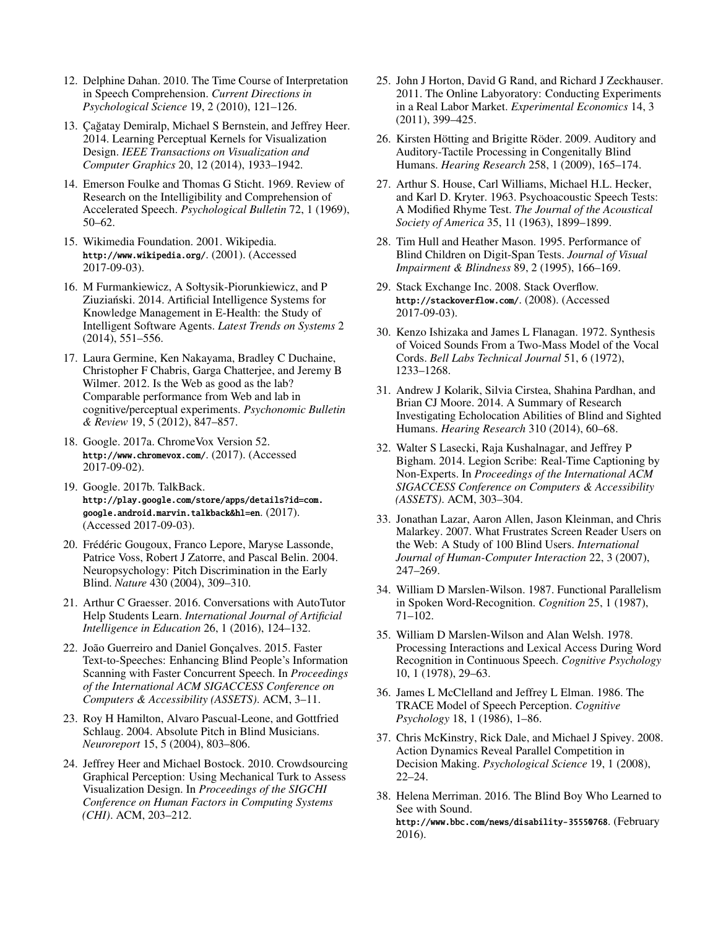- <span id="page-9-5"></span>12. Delphine Dahan. 2010. The Time Course of Interpretation in Speech Comprehension. *Current Directions in Psychological Science* 19, 2 (2010), 121–126.
- <span id="page-9-20"></span>13. Çağatay Demiralp, Michael S Bernstein, and Jeffrey Heer. 2014. Learning Perceptual Kernels for Visualization Design. *IEEE Transactions on Visualization and Computer Graphics* 20, 12 (2014), 1933–1942.
- <span id="page-9-16"></span>14. Emerson Foulke and Thomas G Sticht. 1969. Review of Research on the Intelligibility and Comprehension of Accelerated Speech. *Psychological Bulletin* 72, 1 (1969), 50–62.
- <span id="page-9-24"></span>15. Wikimedia Foundation. 2001. Wikipedia. <http://www.wikipedia.org/>. (2001). (Accessed 2017-09-03).
- <span id="page-9-0"></span>16. M Furmankiewicz, A Sołtysik-Piorunkiewicz, and P Ziuzianski. 2014. Artificial Intelligence Systems for Knowledge Management in E-Health: the Study of Intelligent Software Agents. *Latest Trends on Systems* 2 (2014), 551–556.
- <span id="page-9-19"></span>17. Laura Germine, Ken Nakayama, Bradley C Duchaine, Christopher F Chabris, Garga Chatterjee, and Jeremy B Wilmer. 2012. Is the Web as good as the lab? Comparable performance from Web and lab in cognitive/perceptual experiments. *Psychonomic Bulletin & Review* 19, 5 (2012), 847–857.
- <span id="page-9-8"></span>18. Google. 2017a. ChromeVox Version 52. <http://www.chromevox.com/>. (2017). (Accessed 2017-09-02).
- <span id="page-9-9"></span>19. Google. 2017b. TalkBack. [http://play.google.com/store/apps/details?id=com.](http://play.google.com/store/apps/details?id=com.google.android.marvin.talkback&hl=en) [google.android.marvin.talkback&hl=en](http://play.google.com/store/apps/details?id=com.google.android.marvin.talkback&hl=en). (2017). (Accessed 2017-09-03).
- <span id="page-9-10"></span>20. Frédéric Gougoux, Franco Lepore, Maryse Lassonde, Patrice Voss, Robert J Zatorre, and Pascal Belin. 2004. Neuropsychology: Pitch Discrimination in the Early Blind. *Nature* 430 (2004), 309–310.
- <span id="page-9-1"></span>21. Arthur C Graesser. 2016. Conversations with AutoTutor Help Students Learn. *International Journal of Artifcial Intelligence in Education* 26, 1 (2016), 124–132.
- <span id="page-9-17"></span>22. João Guerreiro and Daniel Gonçalves. 2015. Faster Text-to-Speeches: Enhancing Blind People's Information Scanning with Faster Concurrent Speech. In *Proceedings of the International ACM SIGACCESS Conference on Computers & Accessibility (ASSETS)*. ACM, 3–11.
- <span id="page-9-11"></span>23. Roy H Hamilton, Alvaro Pascual-Leone, and Gottfried Schlaug. 2004. Absolute Pitch in Blind Musicians. *Neuroreport* 15, 5 (2004), 803–806.
- <span id="page-9-21"></span>24. Jeffrey Heer and Michael Bostock. 2010. Crowdsourcing Graphical Perception: Using Mechanical Turk to Assess Visualization Design. In *Proceedings of the SIGCHI Conference on Human Factors in Computing Systems (CHI)*. ACM, 203–212.
- <span id="page-9-18"></span>25. John J Horton, David G Rand, and Richard J Zeckhauser. 2011. The Online Labyoratory: Conducting Experiments in a Real Labor Market. *Experimental Economics* 14, 3 (2011), 399–425.
- <span id="page-9-15"></span>26. Kirsten Hötting and Brigitte Röder. 2009. Auditory and Auditory-Tactile Processing in Congenitally Blind Humans. *Hearing Research* 258, 1 (2009), 165–174.
- <span id="page-9-25"></span>27. Arthur S. House, Carl Williams, Michael H.L. Hecker, and Karl D. Kryter. 1963. Psychoacoustic Speech Tests: A Modifed Rhyme Test. *The Journal of the Acoustical Society of America* 35, 11 (1963), 1899–1899.
- <span id="page-9-14"></span>28. Tim Hull and Heather Mason. 1995. Performance of Blind Children on Digit-Span Tests. *Journal of Visual Impairment & Blindness* 89, 2 (1995), 166–169.
- <span id="page-9-23"></span>29. Stack Exchange Inc. 2008. Stack Overfow. <http://stackoverflow.com/>. (2008). (Accessed 2017-09-03).
- <span id="page-9-6"></span>30. Kenzo Ishizaka and James L Flanagan. 1972. Synthesis of Voiced Sounds From a Two-Mass Model of the Vocal Cords. *Bell Labs Technical Journal* 51, 6 (1972), 1233–1268.
- <span id="page-9-12"></span>31. Andrew J Kolarik, Silvia Cirstea, Shahina Pardhan, and Brian CJ Moore. 2014. A Summary of Research Investigating Echolocation Abilities of Blind and Sighted Humans. *Hearing Research* 310 (2014), 60–68.
- <span id="page-9-22"></span>32. Walter S Lasecki, Raja Kushalnagar, and Jeffrey P Bigham. 2014. Legion Scribe: Real-Time Captioning by Non-Experts. In *Proceedings of the International ACM SIGACCESS Conference on Computers & Accessibility (ASSETS)*. ACM, 303–304.
- <span id="page-9-7"></span>33. Jonathan Lazar, Aaron Allen, Jason Kleinman, and Chris Malarkey. 2007. What Frustrates Screen Reader Users on the Web: A Study of 100 Blind Users. *International Journal of Human-Computer Interaction* 22, 3 (2007), 247–269.
- <span id="page-9-3"></span>34. William D Marslen-Wilson. 1987. Functional Parallelism in Spoken Word-Recognition. *Cognition* 25, 1 (1987), 71–102.
- <span id="page-9-2"></span>35. William D Marslen-Wilson and Alan Welsh. 1978. Processing Interactions and Lexical Access During Word Recognition in Continuous Speech. *Cognitive Psychology*  10, 1 (1978), 29–63.
- <span id="page-9-4"></span>36. James L McClelland and Jeffrey L Elman. 1986. The TRACE Model of Speech Perception. *Cognitive Psychology* 18, 1 (1986), 1–86.
- <span id="page-9-26"></span>37. Chris McKinstry, Rick Dale, and Michael J Spivey. 2008. Action Dynamics Reveal Parallel Competition in Decision Making. *Psychological Science* 19, 1 (2008), 22–24.
- <span id="page-9-13"></span>38. Helena Merriman. 2016. The Blind Boy Who Learned to See with Sound. <http://www.bbc.com/news/disability-35550768>. (February 2016).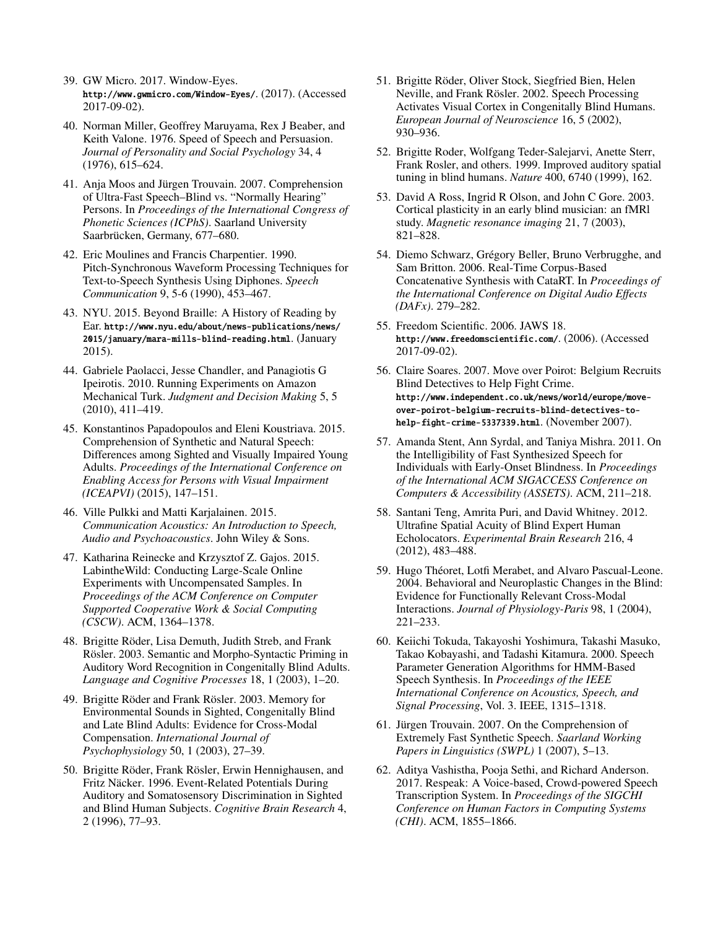- <span id="page-10-7"></span>39. GW Micro. 2017. Window-Eyes. <http://www.gwmicro.com/Window-Eyes/>. (2017). (Accessed 2017-09-02).
- <span id="page-10-8"></span>40. Norman Miller, Geoffrey Maruyama, Rex J Beaber, and Keith Valone. 1976. Speed of Speech and Persuasion. *Journal of Personality and Social Psychology* 34, 4 (1976), 615–624.
- <span id="page-10-17"></span>41. Anja Moos and Jürgen Trouvain. 2007. Comprehension of Ultra-Fast Speech–Blind vs. "Normally Hearing" Persons. In *Proceedings of the International Congress of Phonetic Sciences (ICPhS)*. Saarland University Saarbrücken, Germany, 677–680.
- <span id="page-10-4"></span>42. Eric Moulines and Francis Charpentier. 1990. Pitch-Synchronous Waveform Processing Techniques for Text-to-Speech Synthesis Using Diphones. *Speech Communication* 9, 5-6 (1990), 453–467.
- <span id="page-10-0"></span>43. NYU. 2015. Beyond Braille: A History of Reading by Ear. [http://www.nyu.edu/about/news-publications/news/](http://www.nyu.edu/about/news-publications/news/2015/january/mara-mills-blind-reading.html) [2015/january/mara-mills-blind-reading.html](http://www.nyu.edu/about/news-publications/news/2015/january/mara-mills-blind-reading.html). (January 2015).
- <span id="page-10-21"></span>44. Gabriele Paolacci, Jesse Chandler, and Panagiotis G Ipeirotis. 2010. Running Experiments on Amazon Mechanical Turk. *Judgment and Decision Making* 5, 5 (2010), 411–419.
- <span id="page-10-18"></span>45. Konstantinos Papadopoulos and Eleni Koustriava. 2015. Comprehension of Synthetic and Natural Speech: Differences among Sighted and Visually Impaired Young Adults. *Proceedings of the International Conference on Enabling Access for Persons with Visual Impairment (ICEAPVI)* (2015), 147–151.
- <span id="page-10-2"></span>46. Ville Pulkki and Matti Karjalainen. 2015. *Communication Acoustics: An Introduction to Speech, Audio and Psychoacoustics*. John Wiley & Sons.
- <span id="page-10-1"></span>47. Katharina Reinecke and Krzysztof Z. Gajos. 2015. LabintheWild: Conducting Large-Scale Online Experiments with Uncompensated Samples. In *Proceedings of the ACM Conference on Computer Supported Cooperative Work & Social Computing (CSCW)*. ACM, 1364–1378.
- <span id="page-10-13"></span>48. Brigitte Röder, Lisa Demuth, Judith Streb, and Frank Rösler. 2003. Semantic and Morpho-Syntactic Priming in Auditory Word Recognition in Congenitally Blind Adults. *Language and Cognitive Processes* 18, 1 (2003), 1–20.
- <span id="page-10-16"></span>49. Brigitte Röder and Frank Rösler. 2003. Memory for Environmental Sounds in Sighted, Congenitally Blind and Late Blind Adults: Evidence for Cross-Modal Compensation. *International Journal of Psychophysiology* 50, 1 (2003), 27–39.
- <span id="page-10-11"></span>50. Brigitte Röder, Frank Rösler, Erwin Hennighausen, and Fritz Näcker. 1996. Event-Related Potentials During Auditory and Somatosensory Discrimination in Sighted and Blind Human Subjects. *Cognitive Brain Research* 4, 2 (1996), 77–93.
- <span id="page-10-15"></span>51. Brigitte Röder, Oliver Stock, Siegfried Bien, Helen Neville, and Frank Rösler. 2002. Speech Processing Activates Visual Cortex in Congenitally Blind Humans. *European Journal of Neuroscience* 16, 5 (2002), 930–936.
- <span id="page-10-10"></span>52. Brigitte Roder, Wolfgang Teder-Salejarvi, Anette Sterr, Frank Rosler, and others. 1999. Improved auditory spatial tuning in blind humans. *Nature* 400, 6740 (1999), 162.
- <span id="page-10-9"></span>53. David A Ross, Ingrid R Olson, and John C Gore. 2003. Cortical plasticity in an early blind musician: an fMRl study. *Magnetic resonance imaging* 21, 7 (2003), 821–828.
- <span id="page-10-3"></span>54. Diemo Schwarz, Grégory Beller, Bruno Verbrugghe, and Sam Britton. 2006. Real-Time Corpus-Based Concatenative Synthesis with CataRT. In *Proceedings of the International Conference on Digital Audio Effects (DAFx)*. 279–282.
- <span id="page-10-6"></span>55. Freedom Scientifc. 2006. JAWS 18. <http://www.freedomscientific.com/>. (2006). (Accessed 2017-09-02).
- <span id="page-10-23"></span>56. Claire Soares. 2007. Move over Poirot: Belgium Recruits Blind Detectives to Help Fight Crime. [http://www.independent.co.uk/news/world/europe/move](http://www.independent.co.uk/news/world/europe/move-over-poirot-belgium-recruits-blind-detectives-to-help-fight-crime-5337339.html)[over-poirot-belgium-recruits-blind-detectives-to](http://www.independent.co.uk/news/world/europe/move-over-poirot-belgium-recruits-blind-detectives-to-help-fight-crime-5337339.html)[help-fight-crime-5337339.html](http://www.independent.co.uk/news/world/europe/move-over-poirot-belgium-recruits-blind-detectives-to-help-fight-crime-5337339.html). (November 2007).
- <span id="page-10-19"></span>57. Amanda Stent, Ann Syrdal, and Taniya Mishra. 2011. On the Intelligibility of Fast Synthesized Speech for Individuals with Early-Onset Blindness. In *Proceedings of the International ACM SIGACCESS Conference on Computers & Accessibility (ASSETS)*. ACM, 211–218.
- <span id="page-10-12"></span>58. Santani Teng, Amrita Puri, and David Whitney. 2012. Ultrafne Spatial Acuity of Blind Expert Human Echolocators. *Experimental Brain Research* 216, 4 (2012), 483–488.
- <span id="page-10-14"></span>59. Hugo Théoret, Lotfi Merabet, and Alvaro Pascual-Leone. 2004. Behavioral and Neuroplastic Changes in the Blind: Evidence for Functionally Relevant Cross-Modal Interactions. *Journal of Physiology-Paris* 98, 1 (2004), 221–233.
- <span id="page-10-5"></span>60. Keiichi Tokuda, Takayoshi Yoshimura, Takashi Masuko, Takao Kobayashi, and Tadashi Kitamura. 2000. Speech Parameter Generation Algorithms for HMM-Based Speech Synthesis. In *Proceedings of the IEEE International Conference on Acoustics, Speech, and Signal Processing*, Vol. 3. IEEE, 1315–1318.
- <span id="page-10-20"></span>61. Jürgen Trouvain. 2007. On the Comprehension of Extremely Fast Synthetic Speech. *Saarland Working Papers in Linguistics (SWPL)* 1 (2007), 5–13.
- <span id="page-10-22"></span>62. Aditya Vashistha, Pooja Sethi, and Richard Anderson. 2017. Respeak: A Voice-based, Crowd-powered Speech Transcription System. In *Proceedings of the SIGCHI Conference on Human Factors in Computing Systems (CHI)*. ACM, 1855–1866.